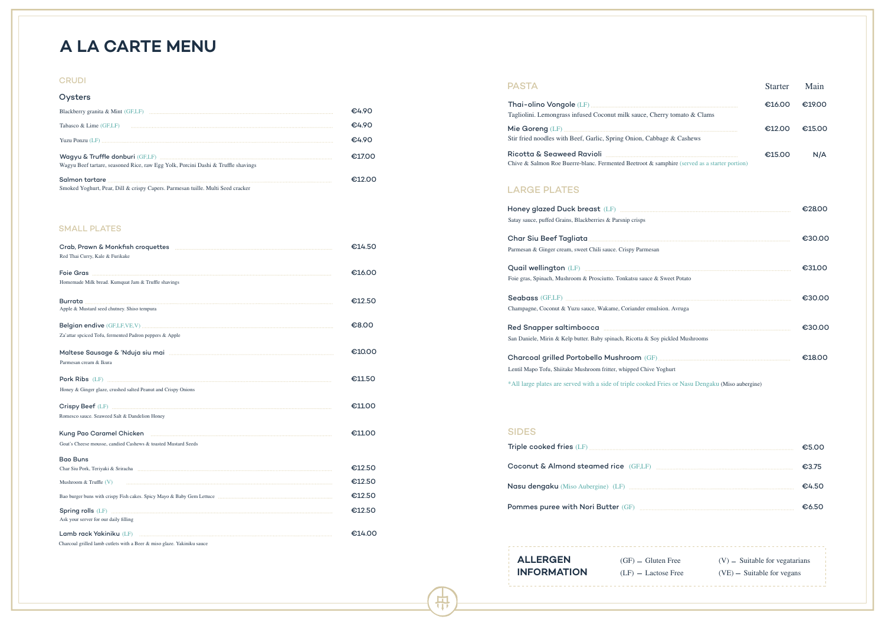|                | €28.00 |
|----------------|--------|
|                | €30.00 |
| eet Potato     | €3100  |
| . Avruga       | €30.00 |
| kled Mushrooms | €30.00 |
| urt            | €18.00 |

|   | $(V)$ – Suitable for vegatarians |
|---|----------------------------------|
| e | $(VE)$ – Suitable for vegans     |

| <b>SIDES</b> |       |
|--------------|-------|
|              | £5 വ∪ |
|              | €3.75 |
|              | £∆ 5∩ |
|              | €650  |

| <b>PASTA</b>                                                                                     | <b>Starter</b> | Main   |
|--------------------------------------------------------------------------------------------------|----------------|--------|
|                                                                                                  | €16.00         | €19.00 |
| Tagliolini. Lemongrass infused Coconut milk sauce, Cherry tomato & Clams                         |                |        |
|                                                                                                  | €12.00         | €15.00 |
| Stir fried noodles with Beef, Garlic, Spring Onion, Cabbage & Cashews                            |                |        |
|                                                                                                  | €15.00         | N/A    |
| Chive & Salmon Roe Buerre-blanc. Fermented Beetroot & samphire (served as a starter portion)     |                |        |
| <b>LARGE PLATES</b>                                                                              |                |        |
|                                                                                                  |                | €28.00 |
| Satay sauce, puffed Grains, Blackberries & Parsnip crisps                                        |                |        |
|                                                                                                  |                | €30.00 |
| Parmesan & Ginger cream, sweet Chili sauce. Crispy Parmesan                                      |                |        |
|                                                                                                  |                | €3100  |
| Foie gras, Spinach, Mushroom & Prosciutto. Tonkatsu sauce & Sweet Potato                         |                |        |
|                                                                                                  |                | €30.00 |
| Champagne, Coconut & Yuzu sauce, Wakame, Coriander emulsion. Avruga                              |                |        |
|                                                                                                  |                | €30.00 |
| San Daniele, Mirin & Kelp butter. Baby spinach, Ricotta & Soy pickled Mushrooms                  |                |        |
|                                                                                                  |                | €18.00 |
| Lentil Mapo Tofu, Shiitake Mushroom fritter, whipped Chive Yoghurt                               |                |        |
| *All large plates are served with a side of triple cooked Fries or Nasu Dengaku (Miso aubergine) |                |        |

# **A LA CARTE MENU**

### **CRUDI**

### SMALL PLATES

| Oysters                                                                           |       |
|-----------------------------------------------------------------------------------|-------|
|                                                                                   | €4.90 |
| Tabasco & Lime (GF,LF)                                                            | €4.90 |
|                                                                                   | €490  |
|                                                                                   | €1700 |
| Wagyu Beef tartare, seasoned Rice, raw Egg Yolk, Porcini Dashi & Truffle shavings |       |
|                                                                                   |       |
| Smoked Yoghurt, Pear, Dill & crispy Capers. Parmesan tuille. Multi Seed cracker   |       |

|                                                               | €14.50 |
|---------------------------------------------------------------|--------|
| Red Thai Curry, Kale & Furikake                               |        |
|                                                               | €16.00 |
| Homemade Milk bread. Kumquat Jam & Truffle shavings           |        |
| Apple & Mustard seed chutney. Shiso tempura                   | €12.50 |
|                                                               | €8.00  |
| Za'attar spciced Tofu, fermented Padron peppers & Apple       |        |
|                                                               | €10.00 |
| Parmesan cream & Ikura                                        |        |
|                                                               | €11.50 |
| Honey & Ginger glaze, crushed salted Peanut and Crispy Onions |        |
|                                                               | €11.00 |
| Romesco sauce. Seaweed Salt & Dandelion Honey                 |        |
|                                                               | €1100  |
| Goat's Cheese mousse, candied Cashews & toasted Mustard Seeds |        |
| <b>Bao Buns</b>                                               |        |
|                                                               | €12.50 |
| Mushroom & Truffle $(V)$                                      | €12.50 |
|                                                               | €12.50 |
| Ask your server for our daily filling                         | €12.50 |
|                                                               | €14.00 |

Charcoal grilled lamb cutlets with a Beer & miso glaze. Yakiniku sauce

**ALLERGEN INFORMATION**

中

 $(GF)$  – Gluten Free  $(LF)$  – Lactose Free